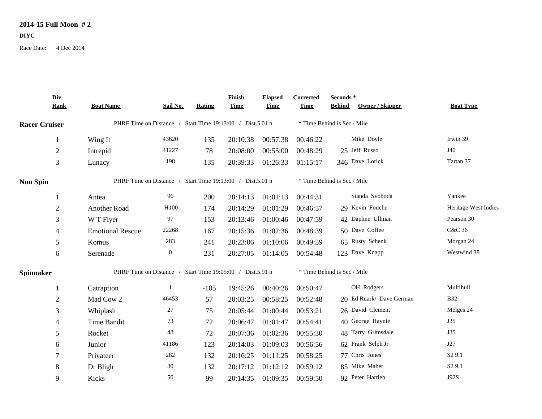## **2014-15 Full Moon # 2**

**DIYC**

Race Date: 4 Dec 2014

|                      | Div            |                                                           |                                                           |               | Finish      | <b>Elapsed</b>              | Corrected                   | Seconds *                   |                          |                      |
|----------------------|----------------|-----------------------------------------------------------|-----------------------------------------------------------|---------------|-------------|-----------------------------|-----------------------------|-----------------------------|--------------------------|----------------------|
|                      | <b>Rank</b>    | <b>Boat Name</b>                                          | Sail No.                                                  | <b>Rating</b> | <b>Time</b> | <b>Time</b>                 | <b>Time</b>                 | <b>Behind</b>               | <b>Owner / Skipper</b>   | <b>Boat Type</b>     |
| <b>Racer Cruiser</b> |                | PHRF Time on Distance / Start Time 19:13:00 / Dist.5.01 n |                                                           |               |             | * Time Behind is Sec / Mile |                             |                             |                          |                      |
|                      | -1             | Wing It                                                   | 43620                                                     | 135           | 20:10:38    | 00:57:38                    | 00:46:22                    |                             | Mike Doyle               | Irwin 39             |
|                      | $\overline{2}$ | Intrepid                                                  | 41227                                                     | 78            | 20:08:00    | 00:55:00                    | 00:48:29                    | 25 Jeff Russo               |                          | J40                  |
|                      | $\mathfrak{Z}$ | Lunacy                                                    | 198                                                       | 135           | 20:39:33    | 01:26:33                    | 01:15:17                    | 346 Dave Lorick             |                          | Tartan 37            |
| <b>Non Spin</b>      |                |                                                           | PHRF Time on Distance / Start Time 19:13:00 / Dist.5.01 n |               |             |                             |                             | * Time Behind is Sec / Mile |                          |                      |
|                      | -1             | Antea                                                     | 96                                                        | 200           | 20:14:13    | 01:01:13                    | 00:44:31                    |                             | Standa Svoboda           | Yankee               |
|                      | $\overline{2}$ | Another Road                                              | H100                                                      | 174           | 20:14:29    | 01:01:29                    | 00:46:57                    | 29 Kevin Fouche             |                          | Heritage West Indies |
|                      | 3              | W T Flyer                                                 | 97                                                        | 153           | 20:13:46    | 01:00:46                    | 00:47:59                    |                             | 42 Daphne Ullman         | Pearson 30           |
|                      | $\overline{4}$ | <b>Emotional Rescue</b>                                   | 22268                                                     | 167           | 20:15:36    | 01:02:36                    | 00:48:39                    | 50 Dave Coffee              |                          | C&C 36               |
|                      | 5              | Komus                                                     | 283                                                       | 241           | 20:23:06    | 01:10:06                    | 00:49:59                    | 65 Rusty Schenk             |                          | Morgan 24            |
|                      | $6\,$          | Serenade                                                  | $\overline{0}$                                            | 231           | 20:27:05    | 01:14:05                    | 00:54:48                    | 123 Dave Knapp              |                          | Westwind 38          |
| <b>Spinnaker</b>     |                | PHRF Time on Distance / Start Time 19:05:00 / Dist.5.91 n |                                                           |               |             |                             | * Time Behind is Sec / Mile |                             |                          |                      |
|                      | -1             | Catraption                                                | 1                                                         | $-105$        | 19:45:26    | 00:40:26                    | 00:50:47                    |                             | OH Rodgers               | Multihull            |
|                      | $\overline{2}$ | Mad Cow 2                                                 | 46453                                                     | 57            | 20:03:25    | 00:58:25                    | 00:52:48                    |                             | 20 Ed Ruark/ Dave German | <b>B32</b>           |
|                      | $\mathfrak{Z}$ | Whiplash                                                  | 27                                                        | 75            | 20:05:44    | 01:00:44                    | 00:53:21                    | 26 David Clement            |                          | Melges 24            |
|                      | $\overline{4}$ | Time Bandit                                               | 73                                                        | 72            | 20:06:47    | 01:01:47                    | 00:54:41                    | 40 George Haynie            |                          | <b>J35</b>           |
|                      | 5              | Rocket                                                    | 48                                                        | 72            | 20:07:36    | 01:02:36                    | 00:55:30                    |                             | 48 Tarry Grimsdale       | <b>J35</b>           |
|                      | 6              | Junior                                                    | 41186                                                     | 123           | 20:14:03    | 01:09:03                    | 00:56:56                    | 62 Frank Selph Jr           |                          | J27                  |
|                      | 7              | Privateer                                                 | 282                                                       | 132           | 20:16:25    | 01:11:25                    | 00:58:25                    | 77 Chris Jones              |                          | S <sub>2</sub> 9.1   |
|                      | $8\,$          | Dr Bligh                                                  | 30                                                        | 132           | 20:17:12    | 01:12:12                    | 00:59:12                    | 85 Mike Maher               |                          | S <sub>2</sub> 9.1   |
|                      | 9              | Kicks                                                     | 50                                                        | 99            | 20:14:35    | 01:09:35                    | 00:59:50                    | 92 Peter Hartleb            |                          | J92S                 |